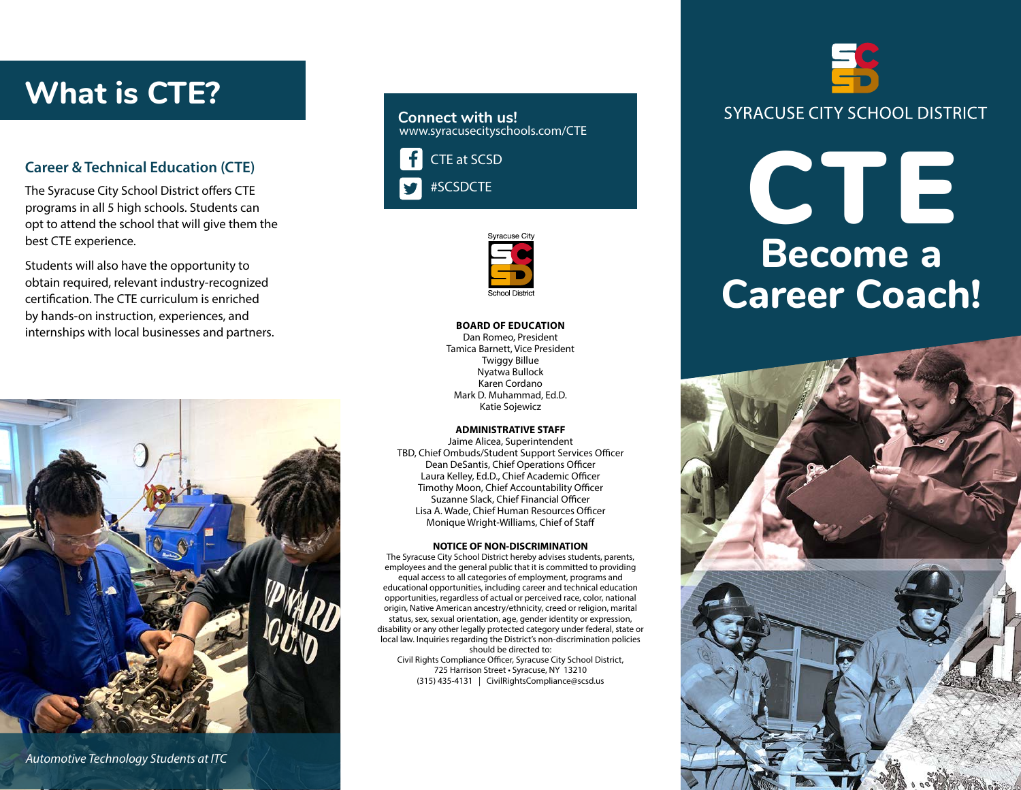## **What is CTE?**

#### **Career & Technical Education (CTE)**

The Syracuse City School District offers CTE programs in all 5 high schools. Students can opt to attend the school that will give them the best CTE experience.

Students will also have the opportunity to obtain required, relevant industry-recognized certification. The CTE curriculum is enriched by hands-on instruction, experiences, and internships with local businesses and partners.



*Automotive Technology Students at ITC*



#SCSDCTE



#### **BOARD OF EDUCATION**

Dan Romeo, President Tamica Barnett, Vice President Twiggy Billue Nyatwa Bullock Karen Cordano Mark D. Muhammad, Ed.D. Katie Sojewicz

#### **ADMINISTRATIVE STAFF**

Jaime Alicea, Superintendent TBD, Chief Ombuds/Student Support Services Officer Dean DeSantis, Chief Operations Officer Laura Kelley, Ed.D., Chief Academic Officer Timothy Moon, Chief Accountability Officer Suzanne Slack, Chief Financial Officer Lisa A. Wade, Chief Human Resources Officer Monique Wright-Williams, Chief of Staff

#### **NOTICE OF NON-DISCRIMINATION**

The Syracuse City School District hereby advises students, parents, employees and the general public that it is committed to providing equal access to all categories of employment, programs and educational opportunities, including career and technical education opportunities, regardless of actual or perceived race, color, national origin, Native American ancestry/ethnicity, creed or religion, marital status, sex, sexual orientation, age, gender identity or expression, disability or any other legally protected category under federal, state or local law. Inquiries regarding the District's non-discrimination policies should be directed to:

Civil Rights Compliance Officer, Syracuse City School District, 725 Harrison Street • Syracuse, NY 13210 (315) 435-4131 | CivilRightsCompliance@scsd.us

# **SYRACUSE CITY SCHOOL DISTRICT**

## **Become a Career Coach!** CTE